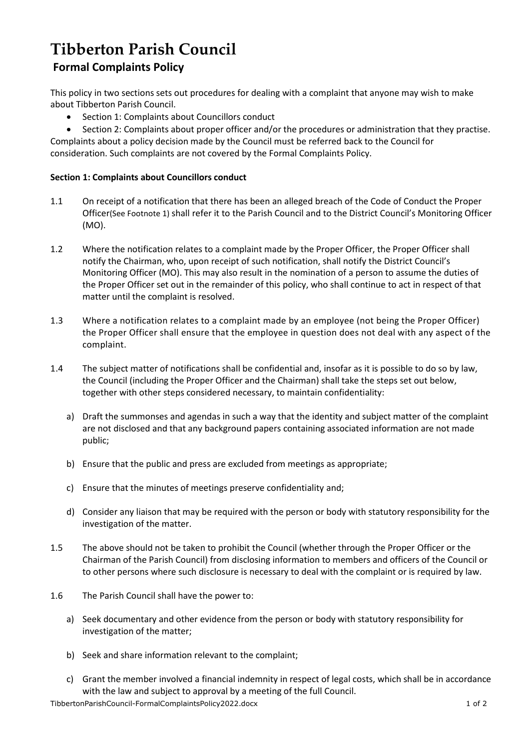## **Tibberton Parish Council Formal Complaints Policy**

This policy in two sections sets out procedures for dealing with a complaint that anyone may wish to make about Tibberton Parish Council.

• Section 1: Complaints about Councillors conduct

 Section 2: Complaints about proper officer and/or the procedures or administration that they practise. Complaints about a policy decision made by the Council must be referred back to the Council for consideration. Such complaints are not covered by the Formal Complaints Policy.

## **Section 1: Complaints about Councillors conduct**

- 1.1 On receipt of a notification that there has been an alleged breach of the Code of Conduct the Proper Officer(See Footnote 1) shall refer it to the Parish Council and to the District Council's Monitoring Officer (MO).
- 1.2 Where the notification relates to a complaint made by the Proper Officer, the Proper Officer shall notify the Chairman, who, upon receipt of such notification, shall notify the District Council's Monitoring Officer (MO). This may also result in the nomination of a person to assume the duties of the Proper Officer set out in the remainder of this policy, who shall continue to act in respect of that matter until the complaint is resolved.
- 1.3 Where a notification relates to a complaint made by an employee (not being the Proper Officer) the Proper Officer shall ensure that the employee in question does not deal with any aspect of the complaint.
- 1.4 The subject matter of notifications shall be confidential and, insofar as it is possible to do so by law, the Council (including the Proper Officer and the Chairman) shall take the steps set out below, together with other steps considered necessary, to maintain confidentiality:
	- a) Draft the summonses and agendas in such a way that the identity and subject matter of the complaint are not disclosed and that any background papers containing associated information are not made public;
	- b) Ensure that the public and press are excluded from meetings as appropriate;
	- c) Ensure that the minutes of meetings preserve confidentiality and;
	- d) Consider any liaison that may be required with the person or body with statutory responsibility for the investigation of the matter.
- 1.5 The above should not be taken to prohibit the Council (whether through the Proper Officer or the Chairman of the Parish Council) from disclosing information to members and officers of the Council or to other persons where such disclosure is necessary to deal with the complaint or is required by law.
- 1.6 The Parish Council shall have the power to:
	- a) Seek documentary and other evidence from the person or body with statutory responsibility for investigation of the matter;
	- b) Seek and share information relevant to the complaint;
	- c) Grant the member involved a financial indemnity in respect of legal costs, which shall be in accordance with the law and subject to approval by a meeting of the full Council.